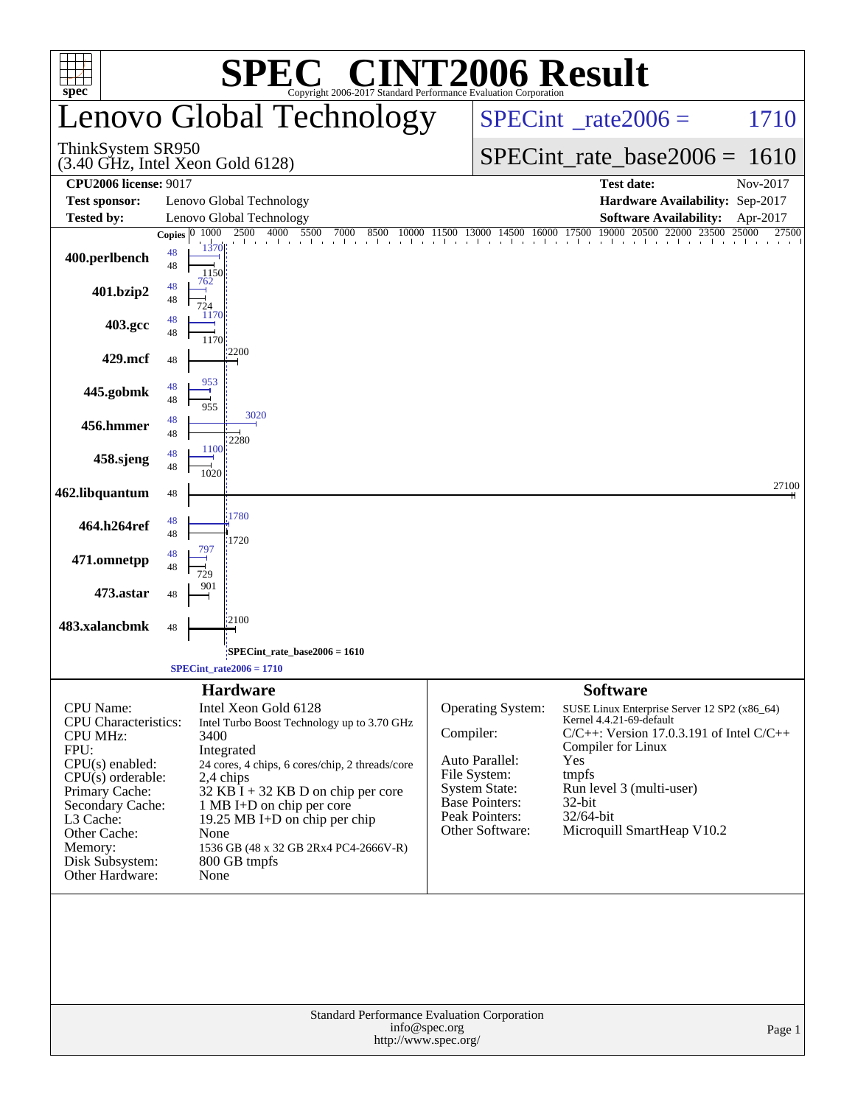|                                                                                                                                                                                                                                            | <b>SPEC<sup>®</sup> CINT2006 Result</b>                                                                                                                                                                                                                                                                                                                             |                                                                                                                                                        |                                                                                                                                                                                                                                                                        |  |  |
|--------------------------------------------------------------------------------------------------------------------------------------------------------------------------------------------------------------------------------------------|---------------------------------------------------------------------------------------------------------------------------------------------------------------------------------------------------------------------------------------------------------------------------------------------------------------------------------------------------------------------|--------------------------------------------------------------------------------------------------------------------------------------------------------|------------------------------------------------------------------------------------------------------------------------------------------------------------------------------------------------------------------------------------------------------------------------|--|--|
| $spec^*$                                                                                                                                                                                                                                   | Copyright 2006-2017 Standard Performance Evaluation Corporation<br>Lenovo Global Technology                                                                                                                                                                                                                                                                         |                                                                                                                                                        | $SPECint^{\circ}$ _rate2006 =<br>1710                                                                                                                                                                                                                                  |  |  |
| ThinkSystem SR950                                                                                                                                                                                                                          | $(3.40$ GHz, Intel Xeon Gold $6128$ )                                                                                                                                                                                                                                                                                                                               |                                                                                                                                                        | $SPECint_rate_base2006 = 1610$                                                                                                                                                                                                                                         |  |  |
| <b>CPU2006 license: 9017</b><br><b>Test sponsor:</b>                                                                                                                                                                                       | Lenovo Global Technology                                                                                                                                                                                                                                                                                                                                            |                                                                                                                                                        | <b>Test date:</b><br>Nov-2017<br>Hardware Availability: Sep-2017                                                                                                                                                                                                       |  |  |
| <b>Tested by:</b>                                                                                                                                                                                                                          | Lenovo Global Technology                                                                                                                                                                                                                                                                                                                                            |                                                                                                                                                        | <b>Software Availability:</b><br>Apr-2017                                                                                                                                                                                                                              |  |  |
| 400.perlbench<br>401.bzip2                                                                                                                                                                                                                 | $1500$ 4000 5500 7000 8500 10000 11500 13000 14500 16000 17500 19000 20500 22000 23500<br>1000<br>2500<br>Copies $ 0 $<br>1370<br>48<br>48<br>1150<br>762<br>48<br>48<br>724                                                                                                                                                                                        |                                                                                                                                                        | 25000<br>27500                                                                                                                                                                                                                                                         |  |  |
| 403.gcc                                                                                                                                                                                                                                    | 1170<br>48<br>48<br>1170                                                                                                                                                                                                                                                                                                                                            |                                                                                                                                                        |                                                                                                                                                                                                                                                                        |  |  |
| 429.mcf                                                                                                                                                                                                                                    | 2200<br>48                                                                                                                                                                                                                                                                                                                                                          |                                                                                                                                                        |                                                                                                                                                                                                                                                                        |  |  |
| 445.gobmk                                                                                                                                                                                                                                  | 953<br>48<br>48<br>955                                                                                                                                                                                                                                                                                                                                              |                                                                                                                                                        |                                                                                                                                                                                                                                                                        |  |  |
| 456.hmmer                                                                                                                                                                                                                                  | 3020<br>48<br>48<br>2280                                                                                                                                                                                                                                                                                                                                            |                                                                                                                                                        |                                                                                                                                                                                                                                                                        |  |  |
| 458.sjeng                                                                                                                                                                                                                                  | 1100<br>48<br>48<br>1020                                                                                                                                                                                                                                                                                                                                            |                                                                                                                                                        |                                                                                                                                                                                                                                                                        |  |  |
| 462.libquantum                                                                                                                                                                                                                             | 48                                                                                                                                                                                                                                                                                                                                                                  |                                                                                                                                                        | 27100                                                                                                                                                                                                                                                                  |  |  |
| 464.h264ref                                                                                                                                                                                                                                | 1780<br>48<br>48<br>1720                                                                                                                                                                                                                                                                                                                                            |                                                                                                                                                        |                                                                                                                                                                                                                                                                        |  |  |
| 471.omnetpp                                                                                                                                                                                                                                | 48<br>48                                                                                                                                                                                                                                                                                                                                                            |                                                                                                                                                        |                                                                                                                                                                                                                                                                        |  |  |
| 473.astar                                                                                                                                                                                                                                  | 901<br>48                                                                                                                                                                                                                                                                                                                                                           |                                                                                                                                                        |                                                                                                                                                                                                                                                                        |  |  |
| 483.xalancbmk                                                                                                                                                                                                                              | 2100<br>48                                                                                                                                                                                                                                                                                                                                                          |                                                                                                                                                        |                                                                                                                                                                                                                                                                        |  |  |
|                                                                                                                                                                                                                                            | SPECint_rate_base2006 = 1610                                                                                                                                                                                                                                                                                                                                        |                                                                                                                                                        |                                                                                                                                                                                                                                                                        |  |  |
|                                                                                                                                                                                                                                            | $SPECint_rate2006 = 1710$                                                                                                                                                                                                                                                                                                                                           |                                                                                                                                                        |                                                                                                                                                                                                                                                                        |  |  |
| <b>CPU</b> Name:<br><b>CPU</b> Characteristics:<br><b>CPU MHz:</b><br>FPU:<br>$CPU(s)$ enabled:<br>$CPU(s)$ orderable:<br>Primary Cache:<br>Secondary Cache:<br>L3 Cache:<br>Other Cache:<br>Memory:<br>Disk Subsystem:<br>Other Hardware: | <b>Hardware</b><br>Intel Xeon Gold 6128<br>Intel Turbo Boost Technology up to 3.70 GHz<br>3400<br>Integrated<br>24 cores, 4 chips, 6 cores/chip, 2 threads/core<br>2,4 chips<br>$32$ KB $\bar{1}$ + 32 KB D on chip per core<br>1 MB I+D on chip per core<br>19.25 MB I+D on chip per chip<br>None<br>1536 GB (48 x 32 GB 2Rx4 PC4-2666V-R)<br>800 GB tmpfs<br>None | Operating System:<br>Compiler:<br>Auto Parallel:<br>File System:<br><b>System State:</b><br><b>Base Pointers:</b><br>Peak Pointers:<br>Other Software: | <b>Software</b><br>SUSE Linux Enterprise Server 12 SP2 (x86_64)<br>Kernel 4.4.21-69-default<br>$C/C++$ : Version 17.0.3.191 of Intel $C/C++$<br>Compiler for Linux<br>Yes<br>tmpfs<br>Run level 3 (multi-user)<br>32-bit<br>$32/64$ -bit<br>Microquill SmartHeap V10.2 |  |  |
| <b>Standard Performance Evaluation Corporation</b><br>info@spec.org<br>Page 1<br>http://www.spec.org/                                                                                                                                      |                                                                                                                                                                                                                                                                                                                                                                     |                                                                                                                                                        |                                                                                                                                                                                                                                                                        |  |  |
|                                                                                                                                                                                                                                            |                                                                                                                                                                                                                                                                                                                                                                     |                                                                                                                                                        |                                                                                                                                                                                                                                                                        |  |  |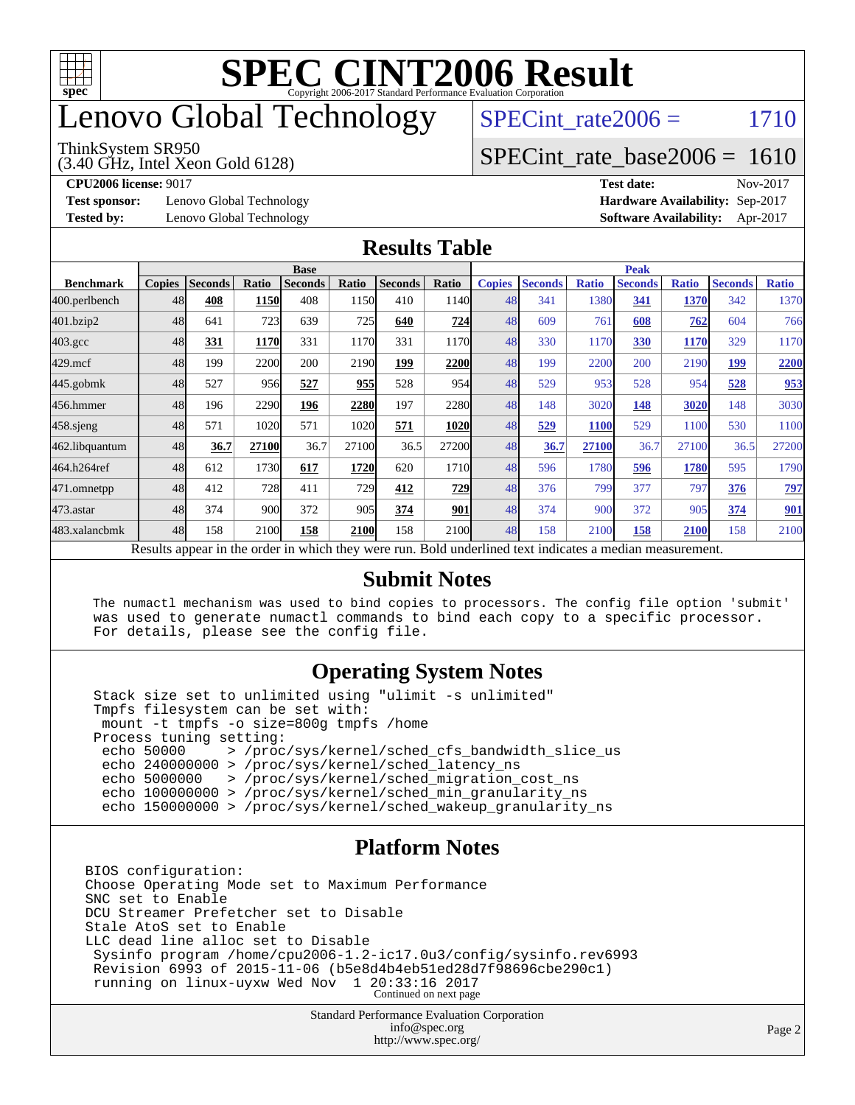

## enovo Global Technology

#### ThinkSystem SR950

(3.40 GHz, Intel Xeon Gold 6128)

SPECint rate $2006 = 1710$ 

#### [SPECint\\_rate\\_base2006 =](http://www.spec.org/auto/cpu2006/Docs/result-fields.html#SPECintratebase2006) 1610

**[Test sponsor:](http://www.spec.org/auto/cpu2006/Docs/result-fields.html#Testsponsor)** Lenovo Global Technology **[Hardware Availability:](http://www.spec.org/auto/cpu2006/Docs/result-fields.html#HardwareAvailability)** Sep-2017

**[CPU2006 license:](http://www.spec.org/auto/cpu2006/Docs/result-fields.html#CPU2006license)** 9017 **[Test date:](http://www.spec.org/auto/cpu2006/Docs/result-fields.html#Testdate)** Nov-2017 **[Tested by:](http://www.spec.org/auto/cpu2006/Docs/result-fields.html#Testedby)** Lenovo Global Technology **[Software Availability:](http://www.spec.org/auto/cpu2006/Docs/result-fields.html#SoftwareAvailability)** Apr-2017

#### **[Results Table](http://www.spec.org/auto/cpu2006/Docs/result-fields.html#ResultsTable)**

|                                                                                                          | <b>Base</b>   |                |       |                |       | <b>Peak</b>    |               |               |                |              |                |              |                |              |
|----------------------------------------------------------------------------------------------------------|---------------|----------------|-------|----------------|-------|----------------|---------------|---------------|----------------|--------------|----------------|--------------|----------------|--------------|
| <b>Benchmark</b>                                                                                         | <b>Copies</b> | <b>Seconds</b> | Ratio | <b>Seconds</b> | Ratio | <b>Seconds</b> | Ratio         | <b>Copies</b> | <b>Seconds</b> | <b>Ratio</b> | <b>Seconds</b> | <b>Ratio</b> | <b>Seconds</b> | <b>Ratio</b> |
| 400.perlbench                                                                                            | 48            | 408            | 1150  | 408            | 1150  | 410            | 1140 <b>1</b> | 48            | 341            | 1380         | 341            | 1370         | 342            | 1370         |
| 401.bzip2                                                                                                | 48            | 641            | 723   | 639            | 725   | 640            | 724           | 48            | 609            | 761          | 608            | 762          | 604            | 766          |
| $403.\mathrm{gcc}$                                                                                       | 48            | 331            | 1170  | 331            | 1170  | 331            | 1170          | 48            | 330            | 1170         | 330            | <b>1170</b>  | 329            | 1170         |
| $429$ .mcf                                                                                               | 48            | 199            | 2200  | 200            | 2190  | 199            | 2200          | 48            | 199            | 2200         | 200            | 2190         | <u>199</u>     | 2200         |
| $445$ .gobmk                                                                                             | 48            | 527            | 956   | 527            | 955   | 528            | 954           | 48            | 529            | 953          | 528            | 954          | 528            | 953          |
| 456.hmmer                                                                                                | 48            | 196            | 2290  | 196            | 2280  | 197            | <b>2280</b>   | 48            | 148            | 3020         | 148            | 3020         | 148            | 3030         |
| $458$ .sjeng                                                                                             | 48            | 571            | 1020  | 571            | 1020  | 571            | 1020          | 48            | 529            | 1100         | 529            | 1100         | 530            | 1100         |
| 462.libquantum                                                                                           | 48            | 36.7           | 27100 | 36.7           | 27100 | 36.5           | 27200         | 48            | 36.7           | 27100        | 36.7           | 27100        | 36.5           | 27200        |
| 464.h264ref                                                                                              | 48            | 612            | 1730  | 617            | 1720  | 620            | 1710          | 48            | 596            | 1780         | 596            | 1780         | 595            | 1790         |
| 471.omnetpp                                                                                              | 48            | 412            | 728   | 411            | 729   | 412            | 729           | 48            | 376            | 799          | 377            | 797          | 376            | <u>797</u>   |
| 473.astar                                                                                                | 48            | 374            | 900l  | 372            | 905   | 374            | 901           | 48            | 374            | 900          | 372            | 905          | 374            | 901          |
| 483.xalancbmk                                                                                            | 48            | 158            | 2100  | 158            | 2100  | 158            | 2100          | 48            | 158            | 2100         | 158            | 2100         | 158            | 2100         |
| Results appear in the order in which they were run. Bold underlined text indicates a median measurement. |               |                |       |                |       |                |               |               |                |              |                |              |                |              |

#### **[Submit Notes](http://www.spec.org/auto/cpu2006/Docs/result-fields.html#SubmitNotes)**

 The numactl mechanism was used to bind copies to processors. The config file option 'submit' was used to generate numactl commands to bind each copy to a specific processor. For details, please see the config file.

#### **[Operating System Notes](http://www.spec.org/auto/cpu2006/Docs/result-fields.html#OperatingSystemNotes)**

 Stack size set to unlimited using "ulimit -s unlimited" Tmpfs filesystem can be set with: mount -t tmpfs -o size=800g tmpfs /home Process tuning setting:<br>echo 50000 > /proc echo 50000 > /proc/sys/kernel/sched\_cfs\_bandwidth\_slice\_us echo 240000000 > /proc/sys/kernel/sched\_latency\_ns echo 5000000 > /proc/sys/kernel/sched\_migration\_cost\_ns echo 100000000 > /proc/sys/kernel/sched\_min\_granularity\_ns echo 150000000 > /proc/sys/kernel/sched\_wakeup\_granularity\_ns

#### **[Platform Notes](http://www.spec.org/auto/cpu2006/Docs/result-fields.html#PlatformNotes)**

BIOS configuration: Choose Operating Mode set to Maximum Performance SNC set to Enable DCU Streamer Prefetcher set to Disable Stale AtoS set to Enable LLC dead line alloc set to Disable Sysinfo program /home/cpu2006-1.2-ic17.0u3/config/sysinfo.rev6993 Revision 6993 of 2015-11-06 (b5e8d4b4eb51ed28d7f98696cbe290c1) running on linux-uyxw Wed Nov 1 20:33:16 2017 Continued on next page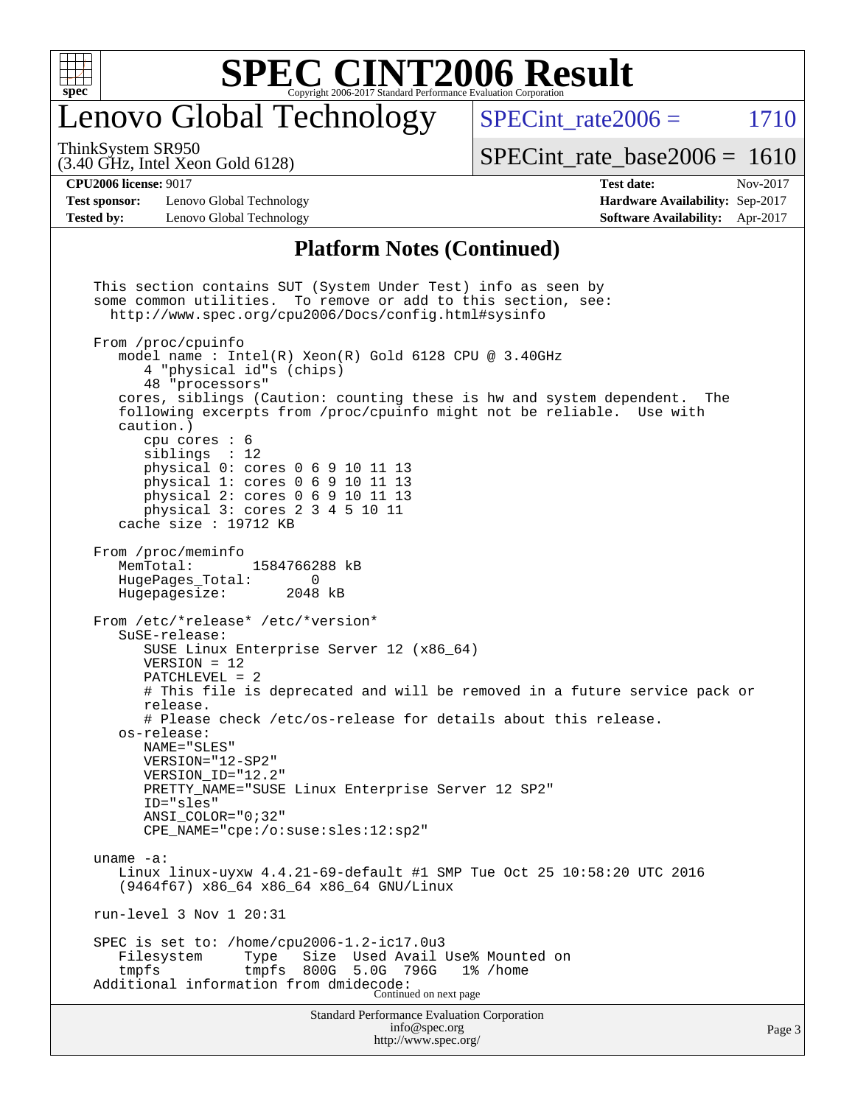

### enovo Global Technology

SPECint rate $2006 = 1710$ 

(3.40 GHz, Intel Xeon Gold 6128) ThinkSystem SR950

[SPECint\\_rate\\_base2006 =](http://www.spec.org/auto/cpu2006/Docs/result-fields.html#SPECintratebase2006) 1610

**[Test sponsor:](http://www.spec.org/auto/cpu2006/Docs/result-fields.html#Testsponsor)** Lenovo Global Technology **[Hardware Availability:](http://www.spec.org/auto/cpu2006/Docs/result-fields.html#HardwareAvailability)** Sep-2017 **[Tested by:](http://www.spec.org/auto/cpu2006/Docs/result-fields.html#Testedby)** Lenovo Global Technology **[Software Availability:](http://www.spec.org/auto/cpu2006/Docs/result-fields.html#SoftwareAvailability)** Apr-2017

**[CPU2006 license:](http://www.spec.org/auto/cpu2006/Docs/result-fields.html#CPU2006license)** 9017 **[Test date:](http://www.spec.org/auto/cpu2006/Docs/result-fields.html#Testdate)** Nov-2017

#### **[Platform Notes \(Continued\)](http://www.spec.org/auto/cpu2006/Docs/result-fields.html#PlatformNotes)**

Standard Performance Evaluation Corporation [info@spec.org](mailto:info@spec.org) This section contains SUT (System Under Test) info as seen by some common utilities. To remove or add to this section, see: <http://www.spec.org/cpu2006/Docs/config.html#sysinfo> From /proc/cpuinfo model name : Intel(R) Xeon(R) Gold 6128 CPU @ 3.40GHz 4 "physical id"s (chips) 48 "processors" cores, siblings (Caution: counting these is hw and system dependent. The following excerpts from /proc/cpuinfo might not be reliable. Use with caution.) cpu cores : 6 siblings : 12 physical 0: cores 0 6 9 10 11 13 physical 1: cores 0 6 9 10 11 13 physical 2: cores 0 6 9 10 11 13 physical 3: cores 2 3 4 5 10 11 cache size : 19712 KB From /proc/meminfo MemTotal: 1584766288 kB HugePages\_Total: 0 Hugepagesize: 2048 kB From /etc/\*release\* /etc/\*version\* SuSE-release: SUSE Linux Enterprise Server 12 (x86\_64) VERSION = 12 PATCHLEVEL = 2 # This file is deprecated and will be removed in a future service pack or release. # Please check /etc/os-release for details about this release. os-release: NAME="SLES" VERSION="12-SP2" VERSION\_ID="12.2" PRETTY\_NAME="SUSE Linux Enterprise Server 12 SP2" ID="sles" ANSI\_COLOR="0;32" CPE\_NAME="cpe:/o:suse:sles:12:sp2" uname -a: Linux linux-uyxw 4.4.21-69-default #1 SMP Tue Oct 25 10:58:20 UTC 2016 (9464f67) x86\_64 x86\_64 x86\_64 GNU/Linux run-level 3 Nov 1 20:31 SPEC is set to: /home/cpu2006-1.2-ic17.0u3<br>Filesystem Type Size Used Avail Used Avail Use% Mounted on tmpfs tmpfs 800G 5.0G 796G 1% /home Additional information from dmidecode: Continued on next page

<http://www.spec.org/>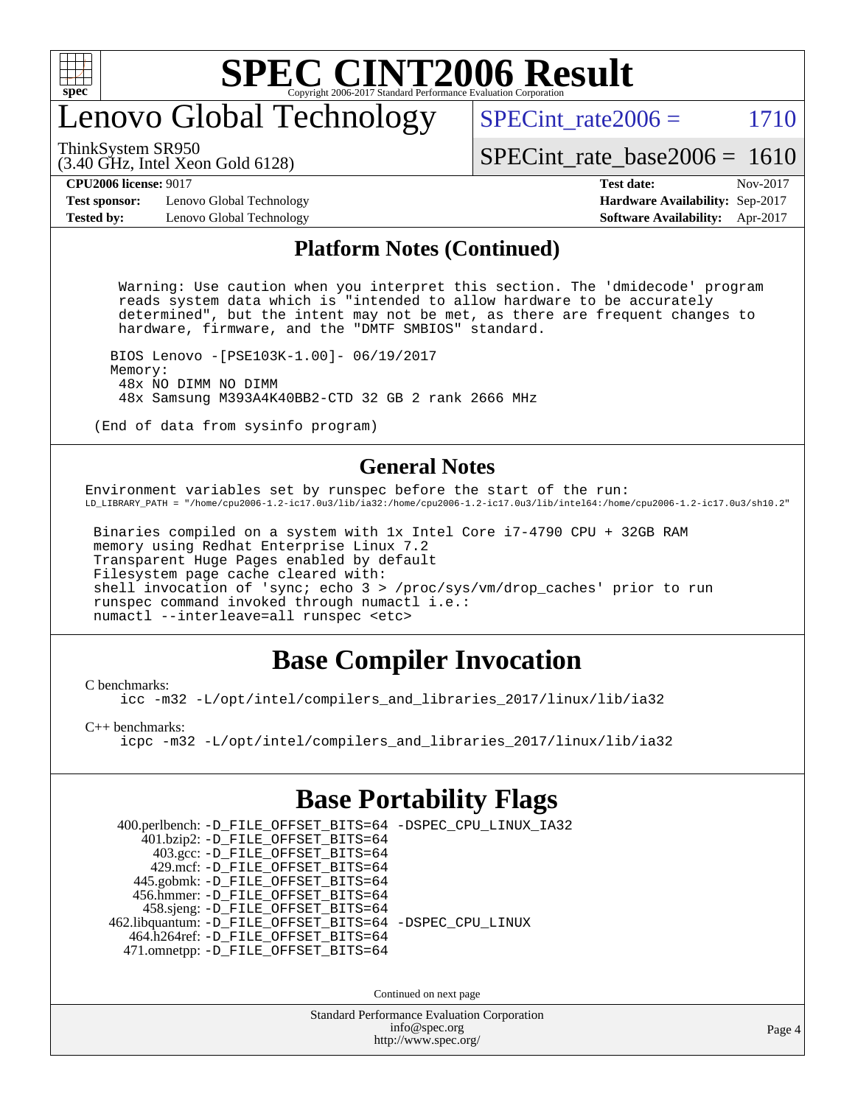

# enovo Global Technology

SPECint rate $2006 = 1710$ 

ThinkSystem SR950

(3.40 GHz, Intel Xeon Gold 6128)

[SPECint\\_rate\\_base2006 =](http://www.spec.org/auto/cpu2006/Docs/result-fields.html#SPECintratebase2006) 1610

**[Test sponsor:](http://www.spec.org/auto/cpu2006/Docs/result-fields.html#Testsponsor)** Lenovo Global Technology **[Hardware Availability:](http://www.spec.org/auto/cpu2006/Docs/result-fields.html#HardwareAvailability)** Sep-2017 **[Tested by:](http://www.spec.org/auto/cpu2006/Docs/result-fields.html#Testedby)** Lenovo Global Technology **[Software Availability:](http://www.spec.org/auto/cpu2006/Docs/result-fields.html#SoftwareAvailability)** Apr-2017

# **[CPU2006 license:](http://www.spec.org/auto/cpu2006/Docs/result-fields.html#CPU2006license)** 9017 **[Test date:](http://www.spec.org/auto/cpu2006/Docs/result-fields.html#Testdate)** Nov-2017

#### **[Platform Notes \(Continued\)](http://www.spec.org/auto/cpu2006/Docs/result-fields.html#PlatformNotes)**

 Warning: Use caution when you interpret this section. The 'dmidecode' program reads system data which is "intended to allow hardware to be accurately determined", but the intent may not be met, as there are frequent changes to hardware, firmware, and the "DMTF SMBIOS" standard.

 BIOS Lenovo -[PSE103K-1.00]- 06/19/2017 Memory: 48x NO DIMM NO DIMM 48x Samsung M393A4K40BB2-CTD 32 GB 2 rank 2666 MHz

(End of data from sysinfo program)

#### **[General Notes](http://www.spec.org/auto/cpu2006/Docs/result-fields.html#GeneralNotes)**

Environment variables set by runspec before the start of the run: LD\_LIBRARY\_PATH = "/home/cpu2006-1.2-ic17.0u3/lib/ia32:/home/cpu2006-1.2-ic17.0u3/lib/intel64:/home/cpu2006-1.2-ic17.0u3/sh10.2"

 Binaries compiled on a system with 1x Intel Core i7-4790 CPU + 32GB RAM memory using Redhat Enterprise Linux 7.2 Transparent Huge Pages enabled by default Filesystem page cache cleared with: shell invocation of 'sync; echo 3 > /proc/sys/vm/drop\_caches' prior to run runspec command invoked through numactl i.e.: numactl --interleave=all runspec <etc>

### **[Base Compiler Invocation](http://www.spec.org/auto/cpu2006/Docs/result-fields.html#BaseCompilerInvocation)**

[C benchmarks](http://www.spec.org/auto/cpu2006/Docs/result-fields.html#Cbenchmarks):

[icc -m32 -L/opt/intel/compilers\\_and\\_libraries\\_2017/linux/lib/ia32](http://www.spec.org/cpu2006/results/res2017q4/cpu2006-20171211-51039.flags.html#user_CCbase_intel_icc_c29f3ff5a7ed067b11e4ec10a03f03ae)

[C++ benchmarks:](http://www.spec.org/auto/cpu2006/Docs/result-fields.html#CXXbenchmarks)

[icpc -m32 -L/opt/intel/compilers\\_and\\_libraries\\_2017/linux/lib/ia32](http://www.spec.org/cpu2006/results/res2017q4/cpu2006-20171211-51039.flags.html#user_CXXbase_intel_icpc_8c35c7808b62dab9ae41a1aa06361b6b)

### **[Base Portability Flags](http://www.spec.org/auto/cpu2006/Docs/result-fields.html#BasePortabilityFlags)**

 400.perlbench: [-D\\_FILE\\_OFFSET\\_BITS=64](http://www.spec.org/cpu2006/results/res2017q4/cpu2006-20171211-51039.flags.html#user_basePORTABILITY400_perlbench_file_offset_bits_64_438cf9856305ebd76870a2c6dc2689ab) [-DSPEC\\_CPU\\_LINUX\\_IA32](http://www.spec.org/cpu2006/results/res2017q4/cpu2006-20171211-51039.flags.html#b400.perlbench_baseCPORTABILITY_DSPEC_CPU_LINUX_IA32) 401.bzip2: [-D\\_FILE\\_OFFSET\\_BITS=64](http://www.spec.org/cpu2006/results/res2017q4/cpu2006-20171211-51039.flags.html#user_basePORTABILITY401_bzip2_file_offset_bits_64_438cf9856305ebd76870a2c6dc2689ab) 403.gcc: [-D\\_FILE\\_OFFSET\\_BITS=64](http://www.spec.org/cpu2006/results/res2017q4/cpu2006-20171211-51039.flags.html#user_basePORTABILITY403_gcc_file_offset_bits_64_438cf9856305ebd76870a2c6dc2689ab) 429.mcf: [-D\\_FILE\\_OFFSET\\_BITS=64](http://www.spec.org/cpu2006/results/res2017q4/cpu2006-20171211-51039.flags.html#user_basePORTABILITY429_mcf_file_offset_bits_64_438cf9856305ebd76870a2c6dc2689ab) 445.gobmk: [-D\\_FILE\\_OFFSET\\_BITS=64](http://www.spec.org/cpu2006/results/res2017q4/cpu2006-20171211-51039.flags.html#user_basePORTABILITY445_gobmk_file_offset_bits_64_438cf9856305ebd76870a2c6dc2689ab) 456.hmmer: [-D\\_FILE\\_OFFSET\\_BITS=64](http://www.spec.org/cpu2006/results/res2017q4/cpu2006-20171211-51039.flags.html#user_basePORTABILITY456_hmmer_file_offset_bits_64_438cf9856305ebd76870a2c6dc2689ab) 458.sjeng: [-D\\_FILE\\_OFFSET\\_BITS=64](http://www.spec.org/cpu2006/results/res2017q4/cpu2006-20171211-51039.flags.html#user_basePORTABILITY458_sjeng_file_offset_bits_64_438cf9856305ebd76870a2c6dc2689ab) 462.libquantum: [-D\\_FILE\\_OFFSET\\_BITS=64](http://www.spec.org/cpu2006/results/res2017q4/cpu2006-20171211-51039.flags.html#user_basePORTABILITY462_libquantum_file_offset_bits_64_438cf9856305ebd76870a2c6dc2689ab) [-DSPEC\\_CPU\\_LINUX](http://www.spec.org/cpu2006/results/res2017q4/cpu2006-20171211-51039.flags.html#b462.libquantum_baseCPORTABILITY_DSPEC_CPU_LINUX) 464.h264ref: [-D\\_FILE\\_OFFSET\\_BITS=64](http://www.spec.org/cpu2006/results/res2017q4/cpu2006-20171211-51039.flags.html#user_basePORTABILITY464_h264ref_file_offset_bits_64_438cf9856305ebd76870a2c6dc2689ab) 471.omnetpp: [-D\\_FILE\\_OFFSET\\_BITS=64](http://www.spec.org/cpu2006/results/res2017q4/cpu2006-20171211-51039.flags.html#user_basePORTABILITY471_omnetpp_file_offset_bits_64_438cf9856305ebd76870a2c6dc2689ab)

Continued on next page

Standard Performance Evaluation Corporation [info@spec.org](mailto:info@spec.org) <http://www.spec.org/>

Page 4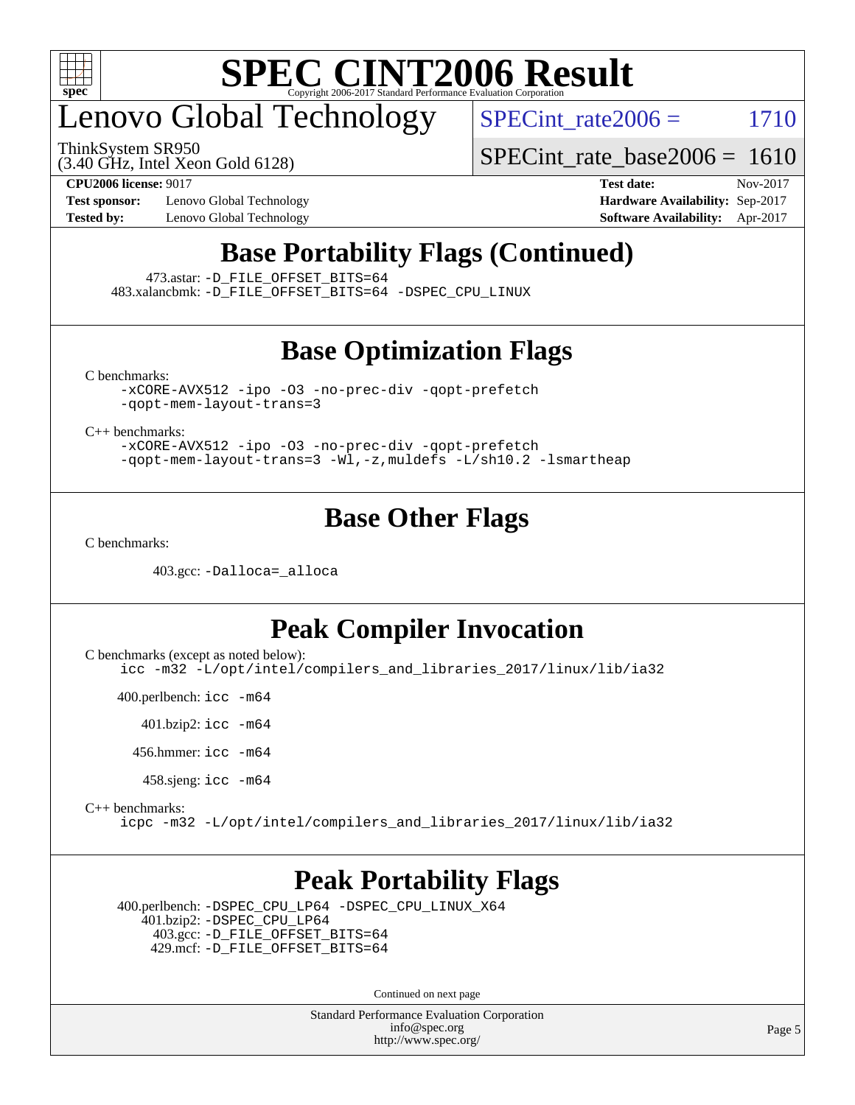

# enovo Global Technology

ThinkSystem SR950

SPECint rate $2006 = 1710$ 

[SPECint\\_rate\\_base2006 =](http://www.spec.org/auto/cpu2006/Docs/result-fields.html#SPECintratebase2006) 1610

(3.40 GHz, Intel Xeon Gold 6128)

**[Test sponsor:](http://www.spec.org/auto/cpu2006/Docs/result-fields.html#Testsponsor)** Lenovo Global Technology **[Hardware Availability:](http://www.spec.org/auto/cpu2006/Docs/result-fields.html#HardwareAvailability)** Sep-2017

**[CPU2006 license:](http://www.spec.org/auto/cpu2006/Docs/result-fields.html#CPU2006license)** 9017 **[Test date:](http://www.spec.org/auto/cpu2006/Docs/result-fields.html#Testdate)** Nov-2017 **[Tested by:](http://www.spec.org/auto/cpu2006/Docs/result-fields.html#Testedby)** Lenovo Global Technology **[Software Availability:](http://www.spec.org/auto/cpu2006/Docs/result-fields.html#SoftwareAvailability)** Apr-2017

### **[Base Portability Flags \(Continued\)](http://www.spec.org/auto/cpu2006/Docs/result-fields.html#BasePortabilityFlags)**

473.astar: [-D\\_FILE\\_OFFSET\\_BITS=64](http://www.spec.org/cpu2006/results/res2017q4/cpu2006-20171211-51039.flags.html#user_basePORTABILITY473_astar_file_offset_bits_64_438cf9856305ebd76870a2c6dc2689ab)

483.xalancbmk: [-D\\_FILE\\_OFFSET\\_BITS=64](http://www.spec.org/cpu2006/results/res2017q4/cpu2006-20171211-51039.flags.html#user_basePORTABILITY483_xalancbmk_file_offset_bits_64_438cf9856305ebd76870a2c6dc2689ab) [-DSPEC\\_CPU\\_LINUX](http://www.spec.org/cpu2006/results/res2017q4/cpu2006-20171211-51039.flags.html#b483.xalancbmk_baseCXXPORTABILITY_DSPEC_CPU_LINUX)

#### **[Base Optimization Flags](http://www.spec.org/auto/cpu2006/Docs/result-fields.html#BaseOptimizationFlags)**

[C benchmarks](http://www.spec.org/auto/cpu2006/Docs/result-fields.html#Cbenchmarks):

[-xCORE-AVX512](http://www.spec.org/cpu2006/results/res2017q4/cpu2006-20171211-51039.flags.html#user_CCbase_f-xCORE-AVX512) [-ipo](http://www.spec.org/cpu2006/results/res2017q4/cpu2006-20171211-51039.flags.html#user_CCbase_f-ipo) [-O3](http://www.spec.org/cpu2006/results/res2017q4/cpu2006-20171211-51039.flags.html#user_CCbase_f-O3) [-no-prec-div](http://www.spec.org/cpu2006/results/res2017q4/cpu2006-20171211-51039.flags.html#user_CCbase_f-no-prec-div) [-qopt-prefetch](http://www.spec.org/cpu2006/results/res2017q4/cpu2006-20171211-51039.flags.html#user_CCbase_f-qopt-prefetch) [-qopt-mem-layout-trans=3](http://www.spec.org/cpu2006/results/res2017q4/cpu2006-20171211-51039.flags.html#user_CCbase_f-qopt-mem-layout-trans_170f5be61cd2cedc9b54468c59262d5d)

[C++ benchmarks:](http://www.spec.org/auto/cpu2006/Docs/result-fields.html#CXXbenchmarks)

[-xCORE-AVX512](http://www.spec.org/cpu2006/results/res2017q4/cpu2006-20171211-51039.flags.html#user_CXXbase_f-xCORE-AVX512) [-ipo](http://www.spec.org/cpu2006/results/res2017q4/cpu2006-20171211-51039.flags.html#user_CXXbase_f-ipo) [-O3](http://www.spec.org/cpu2006/results/res2017q4/cpu2006-20171211-51039.flags.html#user_CXXbase_f-O3) [-no-prec-div](http://www.spec.org/cpu2006/results/res2017q4/cpu2006-20171211-51039.flags.html#user_CXXbase_f-no-prec-div) [-qopt-prefetch](http://www.spec.org/cpu2006/results/res2017q4/cpu2006-20171211-51039.flags.html#user_CXXbase_f-qopt-prefetch) [-qopt-mem-layout-trans=3](http://www.spec.org/cpu2006/results/res2017q4/cpu2006-20171211-51039.flags.html#user_CXXbase_f-qopt-mem-layout-trans_170f5be61cd2cedc9b54468c59262d5d) [-Wl,-z,muldefs](http://www.spec.org/cpu2006/results/res2017q4/cpu2006-20171211-51039.flags.html#user_CXXbase_link_force_multiple1_74079c344b956b9658436fd1b6dd3a8a) [-L/sh10.2 -lsmartheap](http://www.spec.org/cpu2006/results/res2017q4/cpu2006-20171211-51039.flags.html#user_CXXbase_SmartHeap_b831f2d313e2fffa6dfe3f00ffc1f1c0)

### **[Base Other Flags](http://www.spec.org/auto/cpu2006/Docs/result-fields.html#BaseOtherFlags)**

[C benchmarks](http://www.spec.org/auto/cpu2006/Docs/result-fields.html#Cbenchmarks):

403.gcc: [-Dalloca=\\_alloca](http://www.spec.org/cpu2006/results/res2017q4/cpu2006-20171211-51039.flags.html#b403.gcc_baseEXTRA_CFLAGS_Dalloca_be3056838c12de2578596ca5467af7f3)

#### **[Peak Compiler Invocation](http://www.spec.org/auto/cpu2006/Docs/result-fields.html#PeakCompilerInvocation)**

[C benchmarks \(except as noted below\)](http://www.spec.org/auto/cpu2006/Docs/result-fields.html#Cbenchmarksexceptasnotedbelow):

[icc -m32 -L/opt/intel/compilers\\_and\\_libraries\\_2017/linux/lib/ia32](http://www.spec.org/cpu2006/results/res2017q4/cpu2006-20171211-51039.flags.html#user_CCpeak_intel_icc_c29f3ff5a7ed067b11e4ec10a03f03ae)

400.perlbench: [icc -m64](http://www.spec.org/cpu2006/results/res2017q4/cpu2006-20171211-51039.flags.html#user_peakCCLD400_perlbench_intel_icc_64bit_bda6cc9af1fdbb0edc3795bac97ada53)

401.bzip2: [icc -m64](http://www.spec.org/cpu2006/results/res2017q4/cpu2006-20171211-51039.flags.html#user_peakCCLD401_bzip2_intel_icc_64bit_bda6cc9af1fdbb0edc3795bac97ada53)

456.hmmer: [icc -m64](http://www.spec.org/cpu2006/results/res2017q4/cpu2006-20171211-51039.flags.html#user_peakCCLD456_hmmer_intel_icc_64bit_bda6cc9af1fdbb0edc3795bac97ada53)

458.sjeng: [icc -m64](http://www.spec.org/cpu2006/results/res2017q4/cpu2006-20171211-51039.flags.html#user_peakCCLD458_sjeng_intel_icc_64bit_bda6cc9af1fdbb0edc3795bac97ada53)

[C++ benchmarks:](http://www.spec.org/auto/cpu2006/Docs/result-fields.html#CXXbenchmarks)

[icpc -m32 -L/opt/intel/compilers\\_and\\_libraries\\_2017/linux/lib/ia32](http://www.spec.org/cpu2006/results/res2017q4/cpu2006-20171211-51039.flags.html#user_CXXpeak_intel_icpc_8c35c7808b62dab9ae41a1aa06361b6b)

#### **[Peak Portability Flags](http://www.spec.org/auto/cpu2006/Docs/result-fields.html#PeakPortabilityFlags)**

 400.perlbench: [-DSPEC\\_CPU\\_LP64](http://www.spec.org/cpu2006/results/res2017q4/cpu2006-20171211-51039.flags.html#b400.perlbench_peakCPORTABILITY_DSPEC_CPU_LP64) [-DSPEC\\_CPU\\_LINUX\\_X64](http://www.spec.org/cpu2006/results/res2017q4/cpu2006-20171211-51039.flags.html#b400.perlbench_peakCPORTABILITY_DSPEC_CPU_LINUX_X64) 401.bzip2: [-DSPEC\\_CPU\\_LP64](http://www.spec.org/cpu2006/results/res2017q4/cpu2006-20171211-51039.flags.html#suite_peakCPORTABILITY401_bzip2_DSPEC_CPU_LP64) 403.gcc: [-D\\_FILE\\_OFFSET\\_BITS=64](http://www.spec.org/cpu2006/results/res2017q4/cpu2006-20171211-51039.flags.html#user_peakPORTABILITY403_gcc_file_offset_bits_64_438cf9856305ebd76870a2c6dc2689ab) 429.mcf: [-D\\_FILE\\_OFFSET\\_BITS=64](http://www.spec.org/cpu2006/results/res2017q4/cpu2006-20171211-51039.flags.html#user_peakPORTABILITY429_mcf_file_offset_bits_64_438cf9856305ebd76870a2c6dc2689ab)

Continued on next page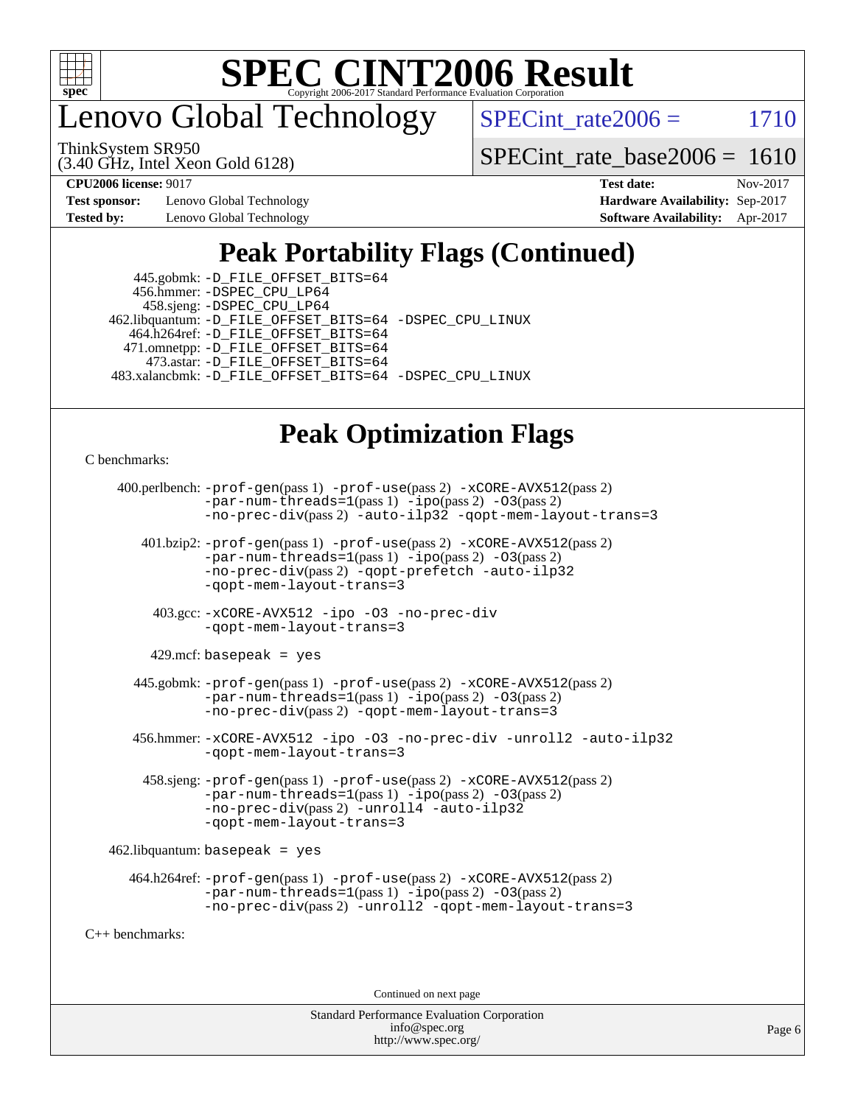

enovo Global Technology

SPECint rate $2006 =$  1710

ThinkSystem SR950

(3.40 GHz, Intel Xeon Gold 6128)

[SPECint\\_rate\\_base2006 =](http://www.spec.org/auto/cpu2006/Docs/result-fields.html#SPECintratebase2006) 1610

**[Test sponsor:](http://www.spec.org/auto/cpu2006/Docs/result-fields.html#Testsponsor)** Lenovo Global Technology **[Hardware Availability:](http://www.spec.org/auto/cpu2006/Docs/result-fields.html#HardwareAvailability)** Sep-2017 **[Tested by:](http://www.spec.org/auto/cpu2006/Docs/result-fields.html#Testedby)** Lenovo Global Technology **[Software Availability:](http://www.spec.org/auto/cpu2006/Docs/result-fields.html#SoftwareAvailability)** Apr-2017

**[CPU2006 license:](http://www.spec.org/auto/cpu2006/Docs/result-fields.html#CPU2006license)** 9017 **[Test date:](http://www.spec.org/auto/cpu2006/Docs/result-fields.html#Testdate)** Nov-2017

### **[Peak Portability Flags \(Continued\)](http://www.spec.org/auto/cpu2006/Docs/result-fields.html#PeakPortabilityFlags)**

| 445.gobmk: -D_FILE_OFFSET_BITS=64                       |  |
|---------------------------------------------------------|--|
| 456.hmmer: - DSPEC CPU LP64                             |  |
| 458.sjeng: -DSPEC_CPU_LP64                              |  |
| 462.libquantum: -D_FILE_OFFSET_BITS=64 -DSPEC_CPU_LINUX |  |
| 464.h264ref: -D_FILE_OFFSET_BITS=64                     |  |
| 471.omnetpp: -D_FILE_OFFSET_BITS=64                     |  |
| 473.astar: -D_FILE_OFFSET_BITS=64                       |  |
| 483.xalancbmk: -D_FILE_OFFSET_BITS=64 -DSPEC_CPU_LINUX  |  |

### **[Peak Optimization Flags](http://www.spec.org/auto/cpu2006/Docs/result-fields.html#PeakOptimizationFlags)**

[C benchmarks](http://www.spec.org/auto/cpu2006/Docs/result-fields.html#Cbenchmarks):

```
 400.perlbench: -prof-gen(pass 1) -prof-use(pass 2) -xCORE-AVX512(pass 2)
                -par-num-threads=1(pass 1) -ipo(pass 2) -O3(pass 2)
                -no-prec-div(pass 2) -auto-ilp32 -qopt-mem-layout-trans=3
        401.bzip2: -prof-gen(pass 1) -prof-use(pass 2) -xCORE-AVX512(pass 2)
                -par-num-threads=1(pass 1) -ipo(pass 2) -O3(pass 2)
                -no-prec-div(pass 2) -qopt-prefetch -auto-ilp32
                -qopt-mem-layout-trans=3
          403.gcc: -xCORE-AVX512 -ipo -O3 -no-prec-div
                -qopt-mem-layout-trans=3
        429.mcf: basepeak = yes
       445.gobmk: -prof-gen(pass 1) -prof-use(pass 2) -xCORE-AVX512(pass 2)
                -par-num-threads=1(pass 1) -ipo(pass 2) -O3(pass 2)
                -no-prec-div(pass 2) -qopt-mem-layout-trans=3
       456.hmmer: -xCORE-AVX512 -ipo -O3 -no-prec-div -unroll2 -auto-ilp32
                -qopt-mem-layout-trans=3
        458.sjeng: -prof-gen(pass 1) -prof-use(pass 2) -xCORE-AVX512(pass 2)
                -par-num-threads=1(pass 1) -ipo(pass 2) -O3(pass 2)
                -no-prec-div(pass 2) -unroll4 -auto-ilp32
                -qopt-mem-layout-trans=3
    462.libquantum: basepeak = yes
      464.h264ref: -prof-gen(pass 1) -prof-use(pass 2) -xCORE-AVX512(pass 2)
                -par-num-threads=1(pass 1) -ipo(pass 2) -O3(pass 2)
                -no-prec-div(pass 2) -unroll2 -qopt-mem-layout-trans=3
C++ benchmarks:
```
Continued on next page